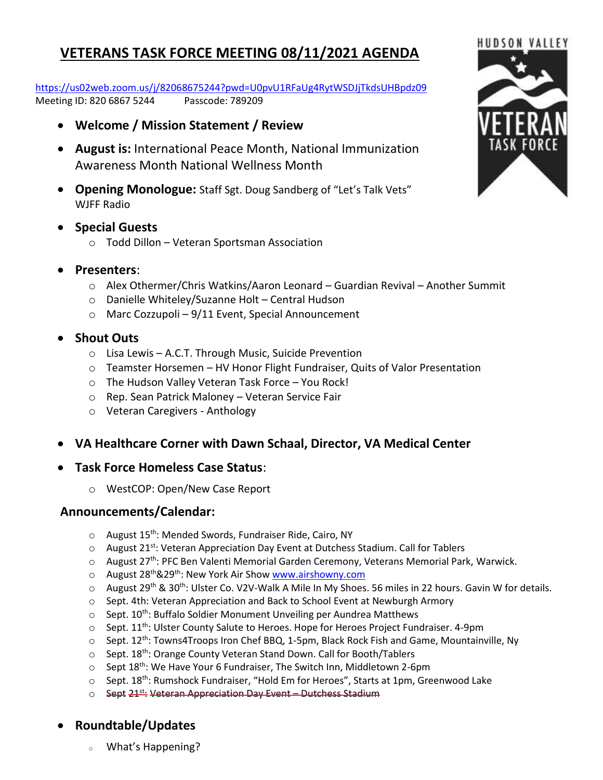## **VETERANS TASK FORCE MEETING 08/11/2021 AGENDA**

<https://us02web.zoom.us/j/82068675244?pwd=U0pvU1RFaUg4RytWSDJjTkdsUHBpdz09> Meeting ID: 820 6867 5244 Passcode: 789209

- **Welcome / Mission Statement / Review**
- **August is:** International Peace Month, National Immunization Awareness Month National Wellness Month
- **Opening Monologue:** Staff Sgt. Doug Sandberg of "Let's Talk Vets" WJFF Radio
- **Special Guests**
	- o Todd Dillon Veteran Sportsman Association
- **Presenters**:
	- o Alex Othermer/Chris Watkins/Aaron Leonard Guardian Revival Another Summit
	- o Danielle Whiteley/Suzanne Holt Central Hudson
	- o Marc Cozzupoli 9/11 Event, Special Announcement
- **Shout Outs**
	- o Lisa Lewis A.C.T. Through Music, Suicide Prevention
	- $\circ$  Teamster Horsemen HV Honor Flight Fundraiser, Quits of Valor Presentation
	- o The Hudson Valley Veteran Task Force You Rock!
	- o Rep. Sean Patrick Maloney Veteran Service Fair
	- o Veteran Caregivers Anthology
- **VA Healthcare Corner with Dawn Schaal, Director, VA Medical Center**
- **Task Force Homeless Case Status**:
	- o WestCOP: Open/New Case Report

## **Announcements/Calendar:**

- $\circ$  August 15<sup>th</sup>: Mended Swords, Fundraiser Ride, Cairo, NY
- $\circ$  August 21<sup>st</sup>: Veteran Appreciation Day Event at Dutchess Stadium. Call for Tablers
- o August 27th: PFC Ben Valenti Memorial Garden Ceremony, Veterans Memorial Park, Warwick.
- o August 28<sup>th</sup>&29<sup>th</sup>: New York Air Sho[w www.airshowny.com](http://www.airshowny.com/)
- o August 29<sup>th</sup> & 30<sup>th</sup>: Ulster Co. V2V-Walk A Mile In My Shoes. 56 miles in 22 hours. Gavin W for details.
- o Sept. 4th: Veteran Appreciation and Back to School Event at Newburgh Armory
- $\circ$  Sept. 10<sup>th</sup>: Buffalo Soldier Monument Unveiling per Aundrea Matthews
- $\circ$  Sept. 11<sup>th</sup>: Ulster County Salute to Heroes. Hope for Heroes Project Fundraiser. 4-9pm
- $\circ$  Sept. 12<sup>th</sup>: Towns4Troops Iron Chef BBQ, 1-5pm, Black Rock Fish and Game, Mountainville, Ny
- o Sept. 18<sup>th</sup>: Orange County Veteran Stand Down. Call for Booth/Tablers
- $\circ$  Sept 18<sup>th</sup>: We Have Your 6 Fundraiser, The Switch Inn, Middletown 2-6pm
- $\circ$  Sept. 18<sup>th</sup>: Rumshock Fundraiser, "Hold Em for Heroes", Starts at 1pm, Greenwood Lake
- o Sept 21<sup>st</sup>: Veteran Appreciation Day Event Dutchess Stadium

## • **Roundtable/Updates**

What's Happening?